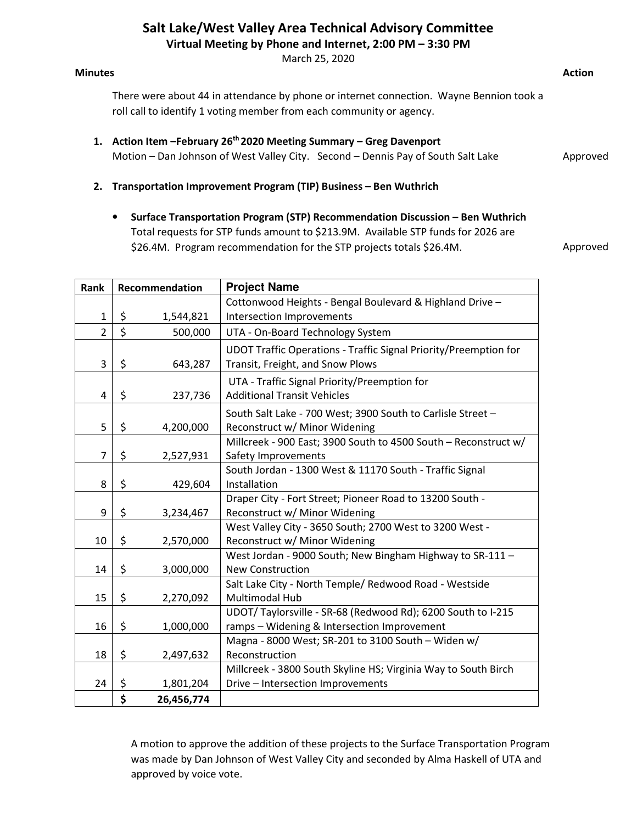## Salt Lake/West Valley Area Technical Advisory Committee

Virtual Meeting by Phone and Internet, 2:00 PM – 3:30 PM

March 25, 2020

#### Minutes **Action**

There were about 44 in attendance by phone or internet connection. Wayne Bennion took a roll call to identify 1 voting member from each community or agency.

- 1. Action Item February 26<sup>th</sup> 2020 Meeting Summary Greg Davenport Motion – Dan Johnson of West Valley City. Second – Dennis Pay of South Salt Lake
- 2. Transportation Improvement Program (TIP) Business Ben Wuthrich
	- Surface Transportation Program (STP) Recommendation Discussion Ben Wuthrich Total requests for STP funds amount to \$213.9M. Available STP funds for 2026 are \$26.4M. Program recommendation for the STP projects totals \$26.4M.

Approved

Approved

| Rank           | Recommendation |            | <b>Project Name</b>                                                                                  |  |  |
|----------------|----------------|------------|------------------------------------------------------------------------------------------------------|--|--|
|                |                |            | Cottonwood Heights - Bengal Boulevard & Highland Drive -                                             |  |  |
| $\mathbf 1$    | \$             | 1,544,821  | Intersection Improvements                                                                            |  |  |
| $\overline{2}$ | \$             | 500,000    | UTA - On-Board Technology System                                                                     |  |  |
| 3              | \$             | 643,287    | UDOT Traffic Operations - Traffic Signal Priority/Preemption for<br>Transit, Freight, and Snow Plows |  |  |
|                |                |            | UTA - Traffic Signal Priority/Preemption for                                                         |  |  |
| 4              | \$             | 237,736    | <b>Additional Transit Vehicles</b>                                                                   |  |  |
|                |                |            | South Salt Lake - 700 West; 3900 South to Carlisle Street -                                          |  |  |
| 5              | \$             | 4,200,000  | Reconstruct w/ Minor Widening                                                                        |  |  |
|                |                |            | Millcreek - 900 East; 3900 South to 4500 South - Reconstruct w/                                      |  |  |
| $\overline{7}$ | \$             | 2,527,931  | Safety Improvements                                                                                  |  |  |
|                |                |            | South Jordan - 1300 West & 11170 South - Traffic Signal                                              |  |  |
| 8              | \$             | 429,604    | Installation                                                                                         |  |  |
|                |                |            | Draper City - Fort Street; Pioneer Road to 13200 South -                                             |  |  |
| 9              | \$             | 3,234,467  | Reconstruct w/ Minor Widening                                                                        |  |  |
|                |                |            | West Valley City - 3650 South; 2700 West to 3200 West -                                              |  |  |
| 10             | \$             | 2,570,000  | Reconstruct w/ Minor Widening                                                                        |  |  |
|                |                |            | West Jordan - 9000 South; New Bingham Highway to SR-111 -                                            |  |  |
| 14             | \$             | 3,000,000  | <b>New Construction</b>                                                                              |  |  |
|                |                |            | Salt Lake City - North Temple/ Redwood Road - Westside                                               |  |  |
| 15             | \$             | 2,270,092  | Multimodal Hub                                                                                       |  |  |
|                |                |            | UDOT/Taylorsville - SR-68 (Redwood Rd); 6200 South to I-215                                          |  |  |
| 16             | \$             | 1,000,000  | ramps - Widening & Intersection Improvement                                                          |  |  |
|                |                |            | Magna - 8000 West; SR-201 to 3100 South - Widen w/                                                   |  |  |
| 18             | \$             | 2,497,632  | Reconstruction                                                                                       |  |  |
|                |                |            | Millcreek - 3800 South Skyline HS; Virginia Way to South Birch                                       |  |  |
| 24             | \$             | 1,801,204  | Drive - Intersection Improvements                                                                    |  |  |
|                | \$             | 26,456,774 |                                                                                                      |  |  |

A motion to approve the addition of these projects to the Surface Transportation Program was made by Dan Johnson of West Valley City and seconded by Alma Haskell of UTA and approved by voice vote.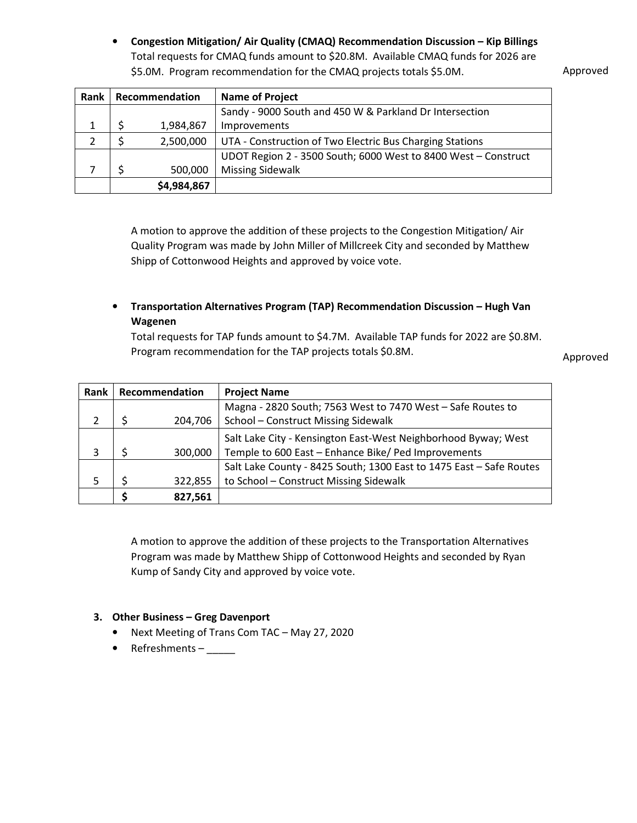• Congestion Mitigation/ Air Quality (CMAQ) Recommendation Discussion – Kip Billings Total requests for CMAQ funds amount to \$20.8M. Available CMAQ funds for 2026 are \$5.0M. Program recommendation for the CMAQ projects totals \$5.0M.

Approved

| Rank | Recommendation |             | <b>Name of Project</b>                                         |
|------|----------------|-------------|----------------------------------------------------------------|
|      |                |             | Sandy - 9000 South and 450 W & Parkland Dr Intersection        |
|      |                | 1,984,867   | Improvements                                                   |
|      |                | 2,500,000   | UTA - Construction of Two Electric Bus Charging Stations       |
|      |                |             | UDOT Region 2 - 3500 South; 6000 West to 8400 West - Construct |
|      |                | 500,000     | <b>Missing Sidewalk</b>                                        |
|      |                | \$4,984,867 |                                                                |

A motion to approve the addition of these projects to the Congestion Mitigation/ Air Quality Program was made by John Miller of Millcreek City and seconded by Matthew Shipp of Cottonwood Heights and approved by voice vote.

### • Transportation Alternatives Program (TAP) Recommendation Discussion – Hugh Van Wagenen

Total requests for TAP funds amount to \$4.7M. Available TAP funds for 2022 are \$0.8M. Program recommendation for the TAP projects totals \$0.8M.

Approved

| <b>Rank</b> | Recommendation |         | <b>Project Name</b>                                                 |
|-------------|----------------|---------|---------------------------------------------------------------------|
|             |                |         | Magna - 2820 South; 7563 West to 7470 West - Safe Routes to         |
|             |                | 204,706 | School - Construct Missing Sidewalk                                 |
|             |                |         | Salt Lake City - Kensington East-West Neighborhood Byway; West      |
|             |                | 300,000 | Temple to 600 East - Enhance Bike/ Ped Improvements                 |
|             |                |         | Salt Lake County - 8425 South; 1300 East to 1475 East - Safe Routes |
|             |                | 322,855 | to School - Construct Missing Sidewalk                              |
|             |                | 827,561 |                                                                     |

A motion to approve the addition of these projects to the Transportation Alternatives Program was made by Matthew Shipp of Cottonwood Heights and seconded by Ryan Kump of Sandy City and approved by voice vote.

#### 3. Other Business – Greg Davenport

- Next Meeting of Trans Com TAC May 27, 2020
- Refreshments –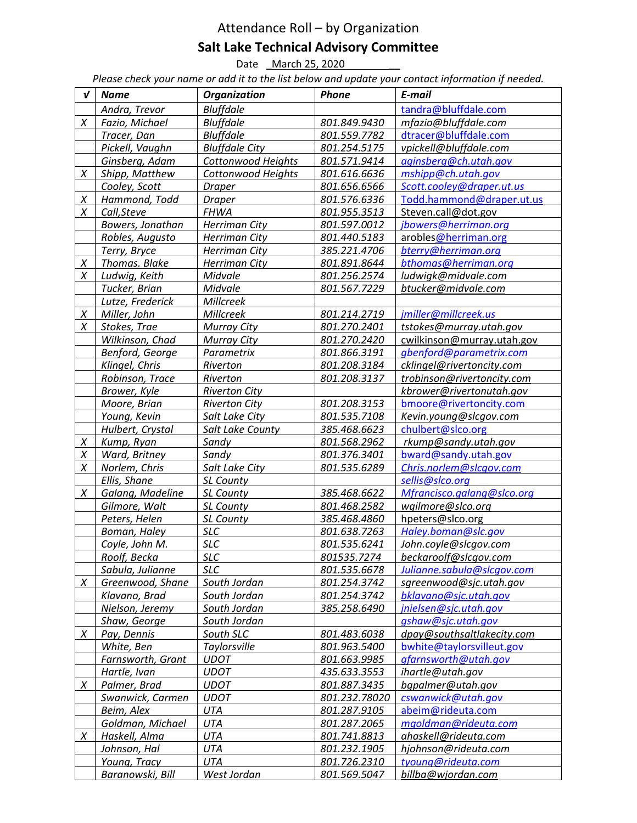# Attendance Roll – by Organization Salt Lake Technical Advisory Committee

Date \_ March 25, 2020

Please check your name or add it to the list below and update your contact information if needed.

| V | <b>Name</b>       | Organization          | Phone         | E-mail                     |
|---|-------------------|-----------------------|---------------|----------------------------|
|   | Andra, Trevor     | <b>Bluffdale</b>      |               | tandra@bluffdale.com       |
| X | Fazio, Michael    | <b>Bluffdale</b>      | 801.849.9430  | mfazio@bluffdale.com       |
|   | Tracer, Dan       | <b>Bluffdale</b>      | 801.559.7782  | dtracer@bluffdale.com      |
|   | Pickell, Vaughn   | <b>Bluffdale City</b> | 801.254.5175  | vpickell@bluffdale.com     |
|   | Ginsberg, Adam    | Cottonwood Heights    | 801.571.9414  | aginsberg@ch.utah.gov      |
| X | Shipp, Matthew    | Cottonwood Heights    | 801.616.6636  | mshipp@ch.utah.gov         |
|   | Cooley, Scott     | <b>Draper</b>         | 801.656.6566  | Scott.cooley@draper.ut.us  |
| X | Hammond, Todd     | <b>Draper</b>         | 801.576.6336  | Todd.hammond@draper.ut.us  |
| X | Call, Steve       | <b>FHWA</b>           | 801.955.3513  | Steven.call@dot.gov        |
|   | Bowers, Jonathan  | Herriman City         | 801.597.0012  | jbowers@herriman.org       |
|   | Robles, Augusto   | <b>Herriman City</b>  | 801.440.5183  | arobles@herriman.org       |
|   | Terry, Bryce      | Herriman City         | 385.221.4706  | bterry@herriman.org        |
| X | Thomas. Blake     | Herriman City         | 801.891.8644  | bthomas@herriman.org       |
| X | Ludwig, Keith     | Midvale               | 801.256.2574  | ludwigk@midvale.com        |
|   | Tucker, Brian     | Midvale               | 801.567.7229  | btucker@midvale.com        |
|   | Lutze, Frederick  | Millcreek             |               |                            |
| X | Miller, John      | Millcreek             | 801.214.2719  | jmiller@millcreek.us       |
| X | Stokes, Trae      | <b>Murray City</b>    | 801.270.2401  | tstokes@murray.utah.gov    |
|   | Wilkinson, Chad   | <b>Murray City</b>    | 801.270.2420  | cwilkinson@murray.utah.gov |
|   | Benford, George   | Parametrix            | 801.866.3191  | gbenford@parametrix.com    |
|   | Klingel, Chris    | Riverton              | 801.208.3184  | cklingel@rivertoncity.com  |
|   | Robinson, Trace   | Riverton              | 801.208.3137  | trobinson@rivertoncity.com |
|   | Brower, Kyle      | <b>Riverton City</b>  |               | kbrower@rivertonutah.gov   |
|   | Moore, Brian      | <b>Riverton City</b>  | 801.208.3153  | bmoore@rivertoncity.com    |
|   | Young, Kevin      | Salt Lake City        | 801.535.7108  | Kevin.young@slcgov.com     |
|   | Hulbert, Crystal  | Salt Lake County      | 385.468.6623  | chulbert@slco.org          |
| X | Kump, Ryan        | Sandy                 | 801.568.2962  | rkump@sandy.utah.gov       |
| Χ | Ward, Britney     | Sandy                 | 801.376.3401  | bward@sandy.utah.gov       |
| X | Norlem, Chris     | Salt Lake City        | 801.535.6289  | Chris.norlem@slcgov.com    |
|   | Ellis, Shane      | SL County             |               | sellis@slco.org            |
| X | Galang, Madeline  | SL County             | 385.468.6622  | Mfrancisco.galang@slco.org |
|   | Gilmore, Walt     | SL County             | 801.468.2582  | wgilmore@slco.org          |
|   | Peters, Helen     | <b>SL County</b>      | 385.468.4860  | hpeters@slco.org           |
|   | Boman, Haley      | <b>SLC</b>            | 801.638.7263  | Haley.boman@slc.gov        |
|   | Coyle, John M.    | <b>SLC</b>            | 801.535.6241  | John.coyle@slcgov.com      |
|   | Roolf, Becka      | <b>SLC</b>            | 801535.7274   | beckaroolf@slcgov.com      |
|   | Sabula, Julianne  | <b>SLC</b>            | 801.535.6678  | Julianne.sabula@slcqov.com |
| X | Greenwood, Shane  | South Jordan          | 801.254.3742  | sgreenwood@sjc.utah.gov    |
|   | Klavano, Brad     | South Jordan          | 801.254.3742  | bklavano@sjc.utah.gov      |
|   | Nielson, Jeremy   | South Jordan          | 385.258.6490  | jnielsen@sjc.utah.gov      |
|   | Shaw, George      | South Jordan          |               | gshaw@sjc.utah.gov         |
| X | Pay, Dennis       | South SLC             | 801.483.6038  | dpay@southsaltlakecity.com |
|   | White, Ben        | Taylorsville          | 801.963.5400  | bwhite@taylorsvilleut.gov  |
|   | Farnsworth, Grant | <b>UDOT</b>           | 801.663.9985  | gfarnsworth@utah.gov       |
|   | Hartle, Ivan      | <b>UDOT</b>           | 435.633.3553  | ihartle@utah.gov           |
| X | Palmer, Brad      | <b>UDOT</b>           | 801.887.3435  | bgpalmer@utah.gov          |
|   | Swanwick, Carmen  | <b>UDOT</b>           | 801.232.78020 | cswanwick@utah.gov         |
|   | Beim, Alex        | UTA                   | 801.287.9105  | abeim@rideuta.com          |
|   | Goldman, Michael  | UTA                   | 801.287.2065  | mgoldman@rideuta.com       |
| X | Haskell, Alma     | UTA                   | 801.741.8813  | ahaskell@rideuta.com       |
|   | Johnson, Hal      | UTA                   | 801.232.1905  | hjohnson@rideuta.com       |
|   | Young, Tracy      | UTA                   | 801.726.2310  | tyoung@rideuta.com         |
|   | Baranowski, Bill  | West Jordan           | 801.569.5047  | billba@wjordan.com         |